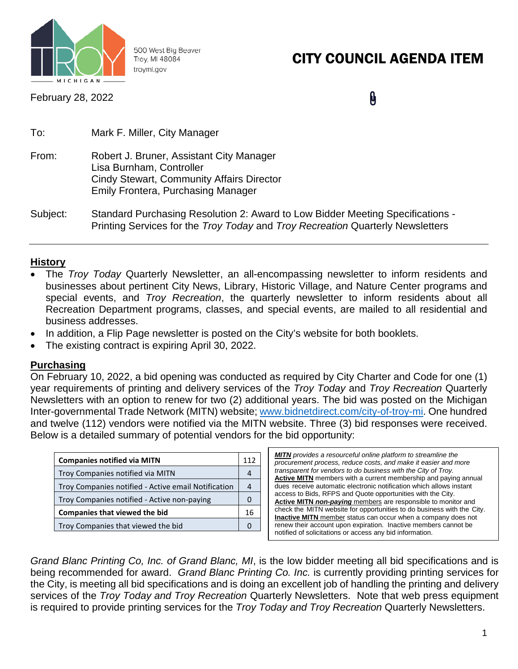

500 West Big Beaver Troy, MI 48084 troymi.gov

# CITY COUNCIL AGENDA ITEM

February 28, 2022

 $\mathbf{\theta}$ 

| To:      | Mark F. Miller, City Manager                                                                                                                                          |
|----------|-----------------------------------------------------------------------------------------------------------------------------------------------------------------------|
| From:    | Robert J. Bruner, Assistant City Manager<br>Lisa Burnham, Controller<br><b>Cindy Stewart, Community Affairs Director</b><br><b>Emily Frontera, Purchasing Manager</b> |
| Subject: | Standard Purchasing Resolution 2: Award to Low Bidder Meeting Specifications -<br>Printing Services for the Troy Today and Troy Recreation Quarterly Newsletters      |

### **History**

- The *Troy Today* Quarterly Newsletter, an all-encompassing newsletter to inform residents and businesses about pertinent City News, Library, Historic Village, and Nature Center programs and special events, and *Troy Recreation*, the quarterly newsletter to inform residents about all Recreation Department programs, classes, and special events, are mailed to all residential and business addresses.
- In addition, a Flip Page newsletter is posted on the City's website for both booklets.
- The existing contract is expiring April 30, 2022.

### **Purchasing**

On February 10, 2022, a bid opening was conducted as required by City Charter and Code for one (1) year requirements of printing and delivery services of the *Troy Today* and *Troy Recreation* Quarterly Newsletters with an option to renew for two (2) additional years. The bid was posted on the Michigan Inter-governmental Trade Network (MITN) website; [www.bidnetdirect.com/city-of-troy-mi.](http://www.bidnetdirect.com/city-of-troy-mi) One hundred and twelve (112) vendors were notified via the MITN website. Three (3) bid responses were received. Below is a detailed summary of potential vendors for the bid opportunity:

| <b>Companies notified via MITN</b>                  |  |  |  |  |
|-----------------------------------------------------|--|--|--|--|
| Troy Companies notified via MITN                    |  |  |  |  |
| Troy Companies notified - Active email Notification |  |  |  |  |
| Troy Companies notified - Active non-paying         |  |  |  |  |
| <b>Companies that viewed the bid</b>                |  |  |  |  |
| Troy Companies that viewed the bid                  |  |  |  |  |

*MITN provides a resourceful online platform to streamline the procurement process, reduce costs, and make it easier and more transparent for vendors to do business with the City of Troy.* **Active MITN** members with a current membership and paying annual dues receive automatic electronic notification which allows instant access to Bids, RFPS and Quote opportunities with the City. **Active MITN** *non-paying* members are responsible to monitor and check the MITN website for opportunities to do business with the City. **Inactive MITN** member status can occur when a company does not renew their account upon expiration. Inactive members cannot be notified of solicitations or access any bid information.

*Grand Blanc Printing Co, Inc. of Grand Blanc, MI*, is the low bidder meeting all bid specifications and is being recommended for award. *Grand Blanc Printing Co. Inc.* is currently providing printing services for the City, is meeting all bid specifications and is doing an excellent job of handling the printing and delivery services of the *Troy Today and Troy Recreation* Quarterly Newsletters. Note that web press equipment is required to provide printing services for the *Troy Today and Troy Recreation* Quarterly Newsletters.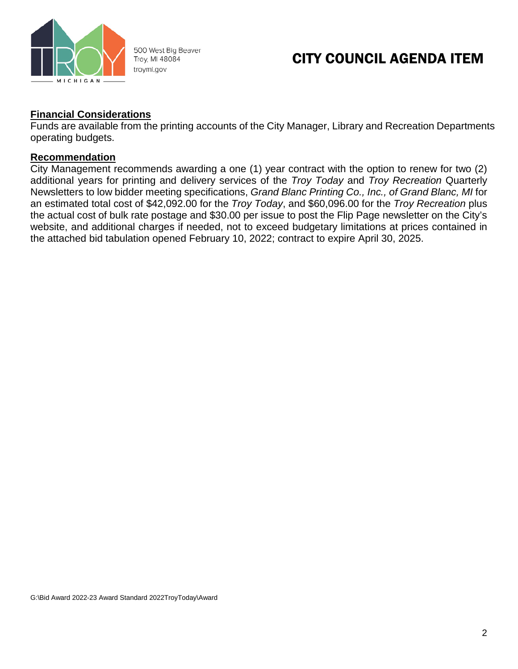

500 West Big Beaver Troy, MI 48084 troymi.gov

## CITY COUNCIL AGENDA ITEM

### **Financial Considerations**

Funds are available from the printing accounts of the City Manager, Library and Recreation Departments operating budgets.

#### **Recommendation**

City Management recommends awarding a one (1) year contract with the option to renew for two (2) additional years for printing and delivery services of the *Troy Today* and *Troy Recreation* Quarterly Newsletters to low bidder meeting specifications, *Grand Blanc Printing Co., Inc., of Grand Blanc, MI* for an estimated total cost of \$42,092.00 for the *Troy Today*, and \$60,096.00 for the *Troy Recreation* plus the actual cost of bulk rate postage and \$30.00 per issue to post the Flip Page newsletter on the City's website, and additional charges if needed, not to exceed budgetary limitations at prices contained in the attached bid tabulation opened February 10, 2022; contract to expire April 30, 2025.